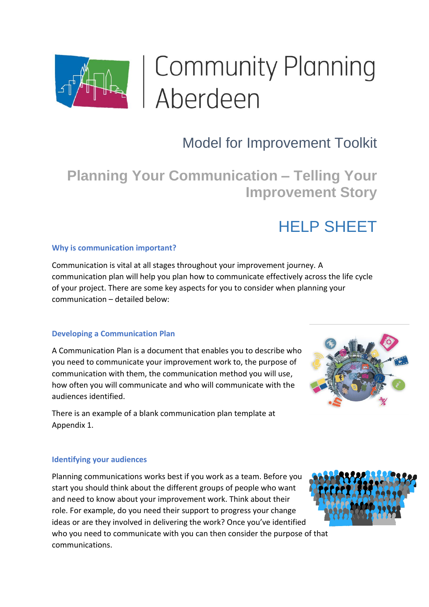

# | Community Planning<br>| Aberdeen

## Model for Improvement Toolkit

**Planning Your Communication – Telling Your Improvement Story**

## HELP SHEET

#### **Why is communication important?**

Communication is vital at all stages throughout your improvement journey. A communication plan will help you plan how to communicate effectively across the life cycle of your project. There are some key aspects for you to consider when planning your communication – detailed below:

#### **Developing a Communication Plan**

A Communication Plan is a document that enables you to describe who you need to communicate your improvement work to, the purpose of communication with them, the communication method you will use, how often you will communicate and who will communicate with the audiences identified.

There is an example of a blank communication plan template at Appendix 1.

#### **Identifying your audiences**

Planning communications works best if you work as a team. Before you start you should think about the different groups of people who want and need to know about your improvement work. Think about their role. For example, do you need their support to progress your change ideas or are they involved in delivering the work? Once you've identified who you need to communicate with you can then consider the purpose of that communications.

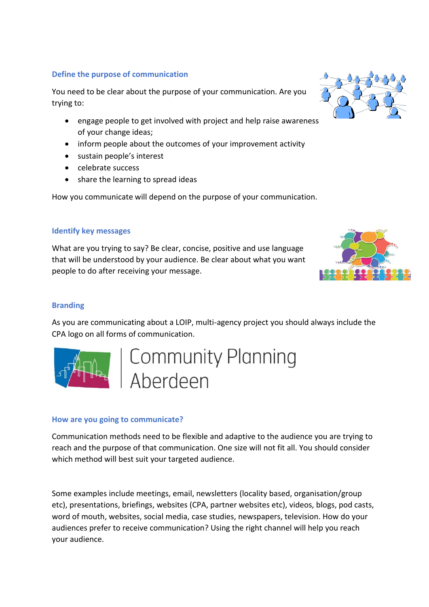#### **Define the purpose of communication**

You need to be clear about the purpose of your communication. Are you trying to:

- engage people to get involved with project and help raise awareness of your change ideas;
- inform people about the outcomes of your improvement activity
- sustain people's interest
- celebrate success
- share the learning to spread ideas

How you communicate will depend on the purpose of your communication.

#### **Identify key messages**

What are you trying to say? Be clear, concise, positive and use language that will be understood by your audience. Be clear about what you want people to do after receiving your message.

#### **Branding**

As you are communicating about a LOIP, multi-agency project you should always include the CPA logo on all forms of communication.



Community Planning<br>Aberdeen

#### **How are you going to communicate?**

Communication methods need to be flexible and adaptive to the audience you are trying to reach and the purpose of that communication. One size will not fit all. You should consider which method will best suit your targeted audience.

Some examples include meetings, email, newsletters (locality based, organisation/group etc), presentations, briefings, websites (CPA, partner websites etc), videos, blogs, pod casts, word of mouth, websites, social media, case studies, newspapers, television. How do your audiences prefer to receive communication? Using the right channel will help you reach your audience.



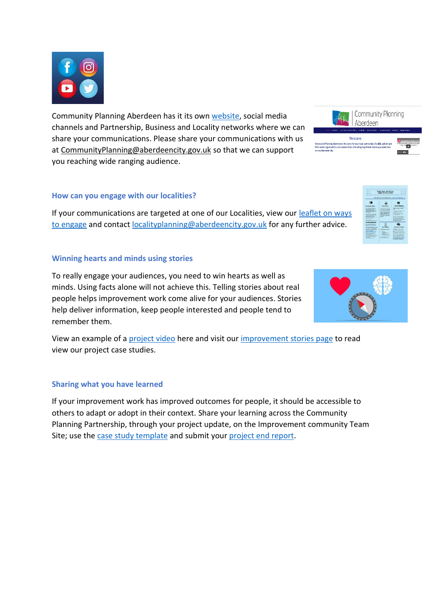

Community Planning Aberdeen has it its own [website,](https://communityplanningaberdeen.org.uk/) social media channels and Partnership, Business and Locality networks where we can share your communications. Please share your communications with us at [CommunityPlanning@aberdeencity.gov.uk](mailto:CommunityPlanning@aberdeencity.gov.uk) so that we can support you reaching wide ranging audience.

#### **How can you engage with our localities?**

If your communications are targeted at one of our Localities, view our [leaflet on ways](https://communityplanningaberdeen.org.uk/wp-content/uploads/2022/04/Project-Teams-Ways-To-Get-Involved-Localities.pdf)  [to engage](https://communityplanningaberdeen.org.uk/wp-content/uploads/2022/04/Project-Teams-Ways-To-Get-Involved-Localities.pdf) and contact [localityplanning@aberdeencity.gov.uk](mailto:localityplanning@aberdeencity.gov.uk) for any further advice.

#### **Winning hearts and minds using stories**

To really engage your audiences, you need to win hearts as well as minds. Using facts alone will not achieve this. Telling stories about real people helps improvement work come alive for your audiences. Stories help deliver information, keep people interested and people tend to remember them.

View an example of a [project video](https://youtu.be/6aooJRlTERQ) here and visit our [improvement stories page](https://communityplanningaberdeen.org.uk/improvement-stories/) to read view our project case studies.

#### **Sharing what you have learned**

If your improvement work has improved outcomes for people, it should be accessible to others to adapt or adopt in their context. Share your learning across the Community Planning Partnership, through your project update, on the Improvement community Team Site; use the [case study template](https://communityplanningaberdeen.org.uk/wp-content/uploads/2022/04/Case-Study-Template.pdf) and submit your [project end report.](https://communityplanningaberdeen.org.uk/wp-content/uploads/2022/04/Project-End-Report-Template2022.pdf)